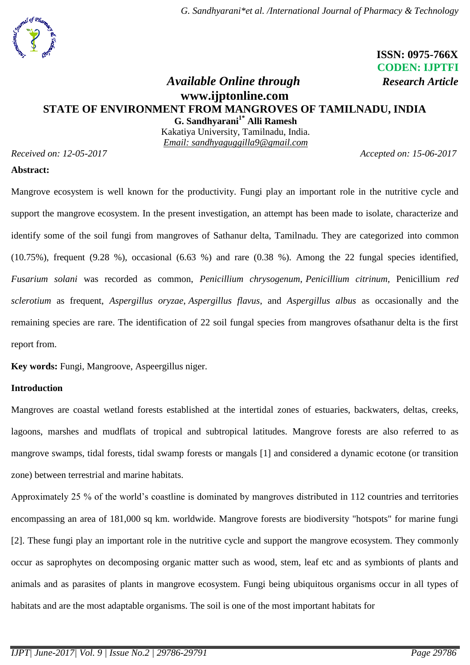# **ISSN: 0975-766X CODEN: IJPTFI**

# *<i>Available Online through Research Article* **[www.ijptonline.com](http://www.ijptonline.com/) STATE OF ENVIRONMENT FROM MANGROVES OF TAMILNADU, INDIA G. Sandhyarani1\* Alli Ramesh**

Kakatiya University, Tamilnadu, India. *Email: sandhyaguggilla9@gmail.com*

*Received on: 12-05-2017 Accepted on: 15-06-2017*

#### **Abstract:**

Mangrove ecosystem is well known for the productivity. Fungi play an important role in the nutritive cycle and support the mangrove ecosystem. In the present investigation, an attempt has been made to isolate, characterize and identify some of the soil fungi from mangroves of Sathanur delta, Tamilnadu. They are categorized into common  $(10.75\%)$ , frequent  $(9.28\%)$ , occasional  $(6.63\%)$  and rare  $(0.38\%)$ . Among the 22 fungal species identified, *Fusarium solani* was recorded as common, *Penicillium chrysogenum*, *Penicillium citrinum*, Penicillium *red sclerotium* as frequent, *Aspergillus oryzae*, *Aspergillus flavus*, and *Aspergillus albus* as occasionally and the remaining species are rare. The identification of 22 soil fungal species from mangroves ofsathanur delta is the first report from.

**Key words:** Fungi, Mangroove, Aspeergillus niger.

## **Introduction**

Mangroves are coastal wetland forests established at the intertidal zones of estuaries, backwaters, deltas, creeks, lagoons, marshes and mudflats of tropical and subtropical latitudes. Mangrove forests are also referred to as mangrove swamps, tidal forests, tidal swamp forests or mangals [1] and considered a dynamic ecotone (or transition zone) between terrestrial and marine habitats.

Approximately 25 % of the world's coastline is dominated by mangroves distributed in 112 countries and territories encompassing an area of 181,000 sq km. worldwide. Mangrove forests are biodiversity "hotspots" for marine fungi [2]. These fungi play an important role in the nutritive cycle and support the mangrove ecosystem. They commonly occur as saprophytes on decomposing organic matter such as wood, stem, leaf etc and as symbionts of plants and animals and as parasites of plants in mangrove ecosystem. Fungi being ubiquitous organisms occur in all types of habitats and are the most adaptable organisms. The soil is one of the most important habitats for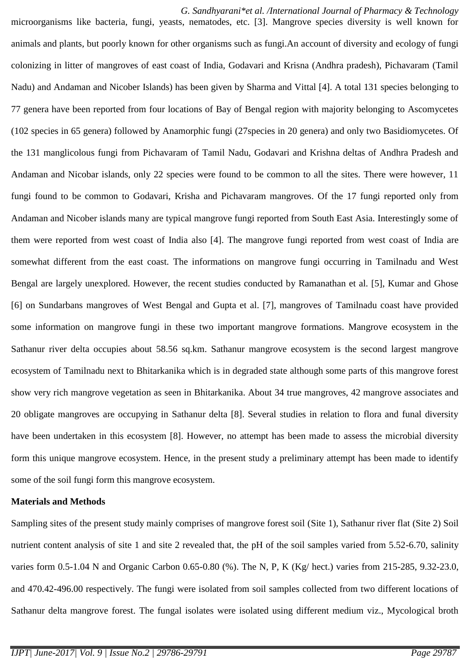*G. Sandhyarani\*et al. /International Journal of Pharmacy & Technology* microorganisms like bacteria, fungi, yeasts, nematodes, etc. [3]. Mangrove species diversity is well known for animals and plants, but poorly known for other organisms such as fungi.An account of diversity and ecology of fungi colonizing in litter of mangroves of east coast of India, Godavari and Krisna (Andhra pradesh), Pichavaram (Tamil Nadu) and Andaman and Nicober Islands) has been given by Sharma and Vittal [4]. A total 131 species belonging to 77 genera have been reported from four locations of Bay of Bengal region with majority belonging to Ascomycetes (102 species in 65 genera) followed by Anamorphic fungi (27species in 20 genera) and only two Basidiomycetes. Of the 131 manglicolous fungi from Pichavaram of Tamil Nadu, Godavari and Krishna deltas of Andhra Pradesh and Andaman and Nicobar islands, only 22 species were found to be common to all the sites. There were however, 11 fungi found to be common to Godavari, Krisha and Pichavaram mangroves. Of the 17 fungi reported only from Andaman and Nicober islands many are typical mangrove fungi reported from South East Asia. Interestingly some of them were reported from west coast of India also [4]. The mangrove fungi reported from west coast of India are somewhat different from the east coast. The informations on mangrove fungi occurring in Tamilnadu and West Bengal are largely unexplored. However, the recent studies conducted by Ramanathan et al. [5], Kumar and Ghose [6] on Sundarbans mangroves of West Bengal and Gupta et al. [7], mangroves of Tamilnadu coast have provided some information on mangrove fungi in these two important mangrove formations. Mangrove ecosystem in the Sathanur river delta occupies about 58.56 sq.km. Sathanur mangrove ecosystem is the second largest mangrove ecosystem of Tamilnadu next to Bhitarkanika which is in degraded state although some parts of this mangrove forest show very rich mangrove vegetation as seen in Bhitarkanika. About 34 true mangroves, 42 mangrove associates and 20 obligate mangroves are occupying in Sathanur delta [8]. Several studies in relation to flora and funal diversity have been undertaken in this ecosystem [8]. However, no attempt has been made to assess the microbial diversity form this unique mangrove ecosystem. Hence, in the present study a preliminary attempt has been made to identify some of the soil fungi form this mangrove ecosystem.

#### **Materials and Methods**

Sampling sites of the present study mainly comprises of mangrove forest soil (Site 1), Sathanur river flat (Site 2) Soil nutrient content analysis of site 1 and site 2 revealed that, the pH of the soil samples varied from 5.52-6.70, salinity varies form 0.5-1.04 N and Organic Carbon 0.65-0.80 (%). The N, P, K (Kg/ hect.) varies from 215-285, 9.32-23.0, and 470.42-496.00 respectively. The fungi were isolated from soil samples collected from two different locations of Sathanur delta mangrove forest. The fungal isolates were isolated using different medium viz., Mycological broth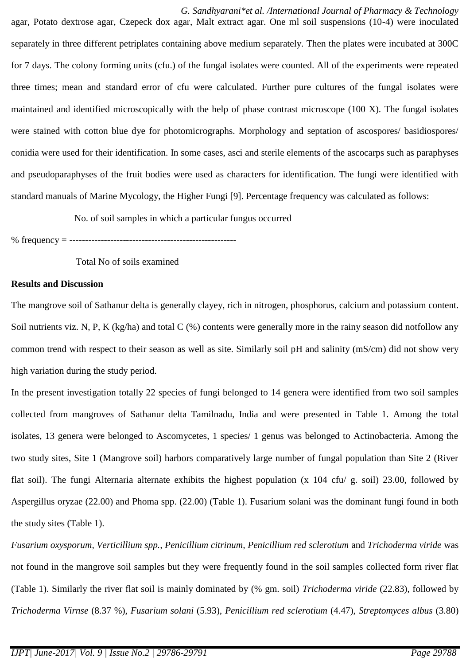*G. Sandhyarani\*et al. /International Journal of Pharmacy & Technology* agar, Potato dextrose agar, Czepeck dox agar, Malt extract agar. One ml soil suspensions (10-4) were inoculated separately in three different petriplates containing above medium separately. Then the plates were incubated at 300C for 7 days. The colony forming units (cfu.) of the fungal isolates were counted. All of the experiments were repeated three times; mean and standard error of cfu were calculated. Further pure cultures of the fungal isolates were maintained and identified microscopically with the help of phase contrast microscope (100 X). The fungal isolates were stained with cotton blue dye for photomicrographs. Morphology and septation of ascospores/ basidiospores/ conidia were used for their identification. In some cases, asci and sterile elements of the ascocarps such as paraphyses and pseudoparaphyses of the fruit bodies were used as characters for identification. The fungi were identified with standard manuals of Marine Mycology, the Higher Fungi [9]. Percentage frequency was calculated as follows:

No. of soil samples in which a particular fungus occurred

% frequency = -----------------------------------------------------

Total No of soils examined

#### **Results and Discussion**

The mangrove soil of Sathanur delta is generally clayey, rich in nitrogen, phosphorus, calcium and potassium content. Soil nutrients viz. N, P, K (kg/ha) and total C (%) contents were generally more in the rainy season did notfollow any common trend with respect to their season as well as site. Similarly soil pH and salinity (mS/cm) did not show very high variation during the study period.

In the present investigation totally 22 species of fungi belonged to 14 genera were identified from two soil samples collected from mangroves of Sathanur delta Tamilnadu, India and were presented in Table 1. Among the total isolates, 13 genera were belonged to Ascomycetes, 1 species/ 1 genus was belonged to Actinobacteria. Among the two study sites, Site 1 (Mangrove soil) harbors comparatively large number of fungal population than Site 2 (River flat soil). The fungi Alternaria alternate exhibits the highest population (x 104 cfu/ g. soil) 23.00, followed by Aspergillus oryzae (22.00) and Phoma spp. (22.00) (Table 1). Fusarium solani was the dominant fungi found in both the study sites (Table 1).

*Fusarium oxysporum, Verticillium spp., Penicillium citrinum, Penicillium red sclerotium* and *Trichoderma viride* was not found in the mangrove soil samples but they were frequently found in the soil samples collected form river flat (Table 1). Similarly the river flat soil is mainly dominated by (% gm. soil) *Trichoderma viride* (22.83), followed by *Trichoderma Virnse* (8.37 %), *Fusarium solani* (5.93), *Penicillium red sclerotium* (4.47), *Streptomyces albus* (3.80)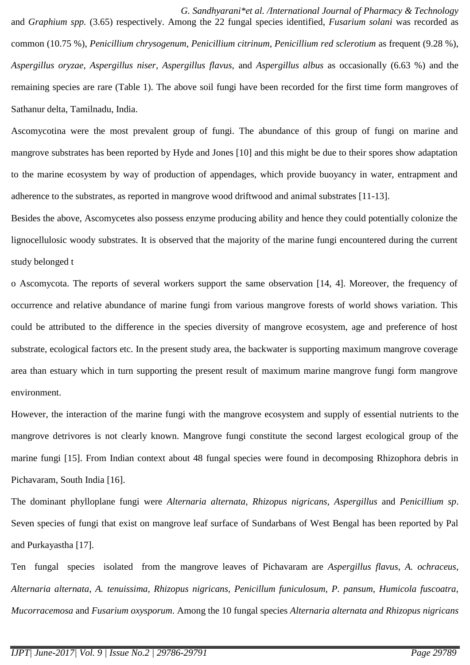*G. Sandhyarani\*et al. /International Journal of Pharmacy & Technology* and *Graphium spp.* (3.65) respectively. Among the 22 fungal species identified, *Fusarium solani* was recorded as common (10.75 %), *Penicillium chrysogenum, Penicillium citrinum, Penicillium red sclerotium* as frequent (9.28 %), *Aspergillus oryzae, Aspergillus niser, Aspergillus flavus,* and *Aspergillus albus* as occasionally (6.63 %) and the remaining species are rare (Table 1). The above soil fungi have been recorded for the first time form mangroves of Sathanur delta, Tamilnadu, India.

Ascomycotina were the most prevalent group of fungi. The abundance of this group of fungi on marine and mangrove substrates has been reported by Hyde and Jones [10] and this might be due to their spores show adaptation to the marine ecosystem by way of production of appendages, which provide buoyancy in water, entrapment and adherence to the substrates, as reported in mangrove wood driftwood and animal substrates [11-13].

Besides the above, Ascomycetes also possess enzyme producing ability and hence they could potentially colonize the lignocellulosic woody substrates. It is observed that the majority of the marine fungi encountered during the current study belonged t

o Ascomycota. The reports of several workers support the same observation [14, 4]. Moreover, the frequency of occurrence and relative abundance of marine fungi from various mangrove forests of world shows variation. This could be attributed to the difference in the species diversity of mangrove ecosystem, age and preference of host substrate, ecological factors etc. In the present study area, the backwater is supporting maximum mangrove coverage area than estuary which in turn supporting the present result of maximum marine mangrove fungi form mangrove environment.

However, the interaction of the marine fungi with the mangrove ecosystem and supply of essential nutrients to the mangrove detrivores is not clearly known. Mangrove fungi constitute the second largest ecological group of the marine fungi [15]. From Indian context about 48 fungal species were found in decomposing Rhizophora debris in Pichavaram, South India [16].

The dominant phylloplane fungi were *Alternaria alternata, Rhizopus nigricans, Aspergillus* and *Penicillium sp*. Seven species of fungi that exist on mangrove leaf surface of Sundarbans of West Bengal has been reported by Pal and Purkayastha [17].

Ten fungal species isolated from the mangrove leaves of Pichavaram are *Aspergillus flavus, A. ochraceus*, *Alternaria alternata, A. tenuissima, Rhizopus nigricans, Penicillum funiculosum, P. pansum, Humicola fuscoatra, Mucorracemosa* and *Fusarium oxysporum*. Among the 10 fungal species *Alternaria alternata and Rhizopus nigricans*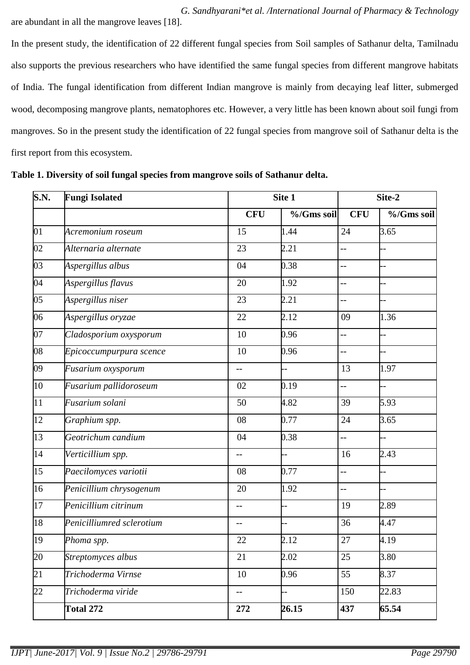*G. Sandhyarani\*et al. /International Journal of Pharmacy & Technology* are abundant in all the mangrove leaves [18].

In the present study, the identification of 22 different fungal species from Soil samples of Sathanur delta, Tamilnadu also supports the previous researchers who have identified the same fungal species from different mangrove habitats of India. The fungal identification from different Indian mangrove is mainly from decaying leaf litter, submerged wood, decomposing mangrove plants, nematophores etc. However, a very little has been known about soil fungi from mangroves. So in the present study the identification of 22 fungal species from mangrove soil of Sathanur delta is the first report from this ecosystem.

**Table 1. Diversity of soil fungal species from mangrove soils of Sathanur delta.**

| S.N. | <b>Fungi Isolated</b>     | Site 1                   |            | Site-2         |            |
|------|---------------------------|--------------------------|------------|----------------|------------|
|      |                           | <b>CFU</b>               | %/Gms soil | <b>CFU</b>     | %/Gms soil |
| 01   | Acremonium roseum         | 15                       | 1.44       | 24             | 3.65       |
| 02   | Alternaria alternate      | 23                       | 2.21       | --             |            |
| 03   | Aspergillus albus         | 04                       | 0.38       | $\overline{a}$ |            |
| 04   | Aspergillus flavus        | 20                       | 1.92       | $-$            |            |
| 05   | Aspergillus niser         | 23                       | 2.21       | --             |            |
| 06   | Aspergillus oryzae        | 22                       | 2.12       | 09             | 1.36       |
| 07   | Cladosporium oxysporum    | 10                       | 0.96       | $\overline{a}$ |            |
| 08   | Epicoccumpurpura scence   | 10                       | 0.96       | --             |            |
| 09   | Fusarium oxysporum        | $-$                      |            | 13             | 1.97       |
| 10   | Fusarium pallidoroseum    | 02                       | 0.19       | $\overline{a}$ | <b>.</b>   |
| 11   | Fusarium solani           | 50                       | 4.82       | 39             | 5.93       |
| 12   | Graphium spp.             | 08                       | 0.77       | 24             | 3.65       |
| 13   | Geotrichum candium        | 04                       | 0.38       | $-$            |            |
| 14   | Verticillium spp.         | $-$                      | --         | 16             | 2.43       |
| 15   | Paecilomyces variotii     | 08                       | 0.77       | --             |            |
| 16   | Penicillium chrysogenum   | 20                       | 1.92       | $\overline{a}$ |            |
| 17   | Penicillium citrinum      | $-$                      |            | 19             | 2.89       |
| 18   | Penicilliumred sclerotium |                          |            | 36             | 4.47       |
| 19   | Phoma spp.                | 22                       | 2.12       | $27\,$         | 4.19       |
| 20   | Streptomyces albus        | 21                       | 2.02       | 25             | 3.80       |
| 21   | Trichoderma Virnse        | 10                       | 0.96       | 55             | 8.37       |
| 22   | Trichoderma viride        | $\overline{\phantom{a}}$ | Ļ.         | 150            | 22.83      |
|      | Total 272                 | 272                      | 26.15      | 437            | 65.54      |